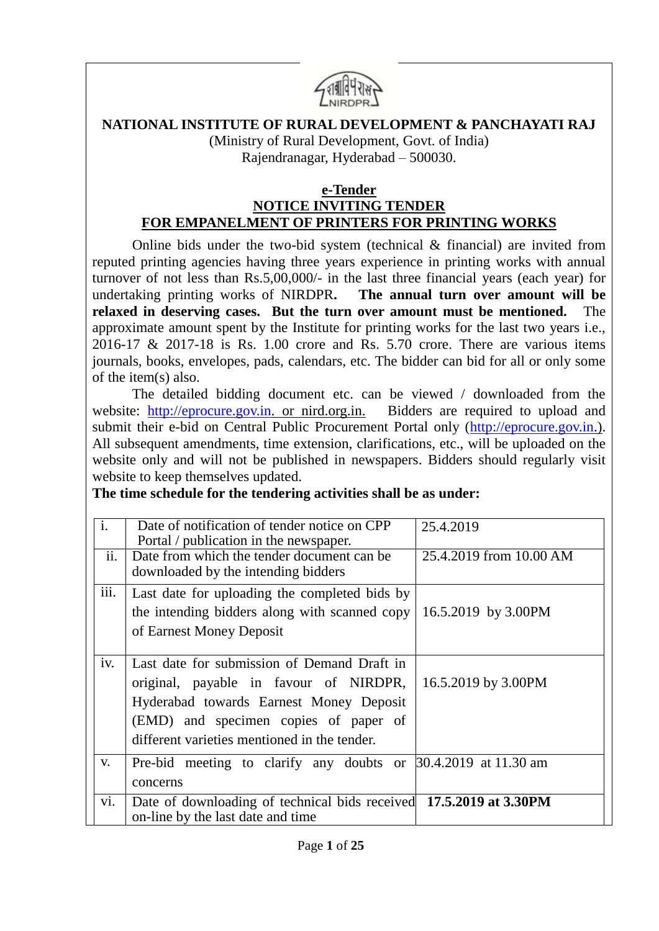

#### **NATIONAL INSTITUTE OF RURAL DEVELOPMENT & PANCHAYATI RAJ**

(Ministry of Rural Development, Govt. of India) Rajendranagar, Hyderabad – 500030.

#### **e-Tender NOTICE INVITING TENDER**

# **FOR EMPANELMENT OF PRINTERS FOR PRINTING WORKS**

Online bids under the two-bid system (technical & financial) are invited from reputed printing agencies having three years experience in printing works with annual turnover of not less than Rs.5,00,000/- in the last three financial years (each year) for undertaking printing works of NIRDPR**. The annual turn over amount will be relaxed in deserving cases. But the turn over amount must be mentioned.** The approximate amount spent by the Institute for printing works for the last two years i.e., 2016-17 & 2017-18 is Rs. 1.00 crore and Rs. 5.70 crore. There are various items journals, books, envelopes, pads, calendars, etc. The bidder can bid for all or only some of the item(s) also.

The detailed bidding document etc. can be viewed / downloaded from the website: [http://eprocure.gov.in.](http://eprocure.gov.in/) or nird.org.in. Bidders are required to upload and submit their e-bid on Central Public Procurement Portal only [\(http://eprocure.gov.in.](http://eprocure.gov.in/)). All subsequent amendments, time extension, clarifications, etc., will be uploaded on the website only and will not be published in newspapers. Bidders should regularly visit website to keep themselves updated.

#### **The time schedule for the tendering activities shall be as under:**

| $\mathbf{i}$ .<br>$\overline{ii}$ . | Date of notification of tender notice on CPP<br>Portal / publication in the newspaper.<br>Date from which the tender document can be<br>downloaded by the intending bidders                                               | 25.4.2019<br>25.4.2019 from 10.00 AM |
|-------------------------------------|---------------------------------------------------------------------------------------------------------------------------------------------------------------------------------------------------------------------------|--------------------------------------|
| iii.                                | Last date for uploading the completed bids by<br>the intending bidders along with scanned copy<br>of Earnest Money Deposit                                                                                                | 16.5.2019 by 3.00PM                  |
| iv.                                 | Last date for submission of Demand Draft in<br>original, payable in favour of NIRDPR,<br>Hyderabad towards Earnest Money Deposit<br>(EMD) and specimen copies of paper of<br>different varieties mentioned in the tender. | 16.5.2019 by 3.00PM                  |
| V.                                  | Pre-bid meeting to clarify any doubts or 30.4.2019 at 11.30 am<br>concerns                                                                                                                                                |                                      |
| vi.                                 | Date of downloading of technical bids received 17.5.2019 at 3.30PM<br>on-line by the last date and time                                                                                                                   |                                      |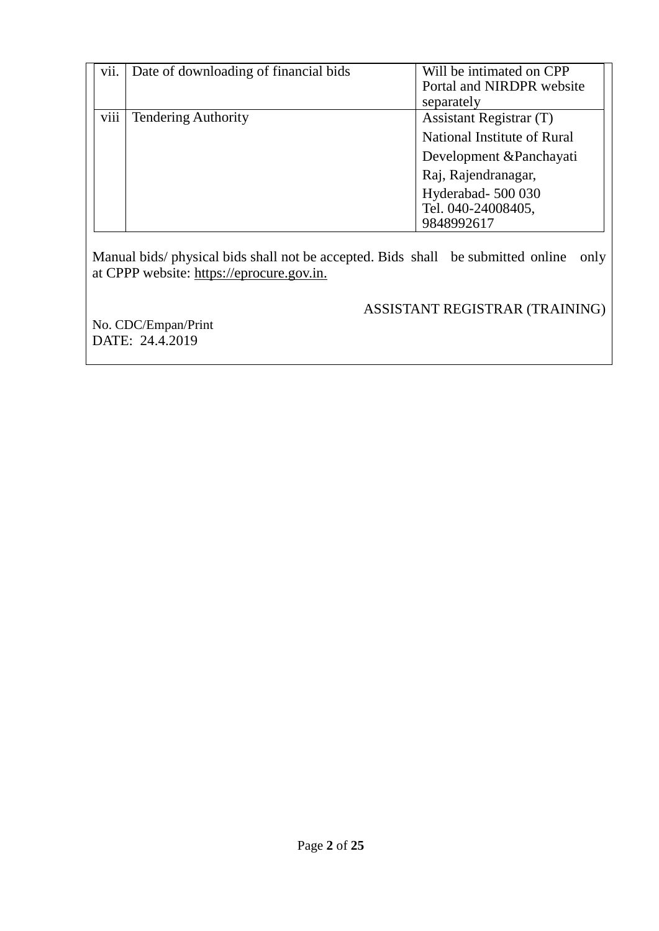| vii. | Date of downloading of financial bids | Will be intimated on CPP<br>Portal and NIRDPR website<br>separately                                                                                                 |
|------|---------------------------------------|---------------------------------------------------------------------------------------------------------------------------------------------------------------------|
| viii | <b>Tendering Authority</b>            | Assistant Registrar (T)<br>National Institute of Rural<br>Development & Panchayati<br>Raj, Rajendranagar,<br>Hyderabad- 500 030<br>Tel. 040-24008405,<br>9848992617 |

Manual bids/ physical bids shall not be accepted. Bids shall be submitted online only at CPPP website: https://eprocure.gov.in.

### ASSISTANT REGISTRAR (TRAINING)

No. [CDC/Empan/Print](https://nirdpr.eoffice.gov.in/eFile/?x=SHyQfLkVy89cQ7RrYwwGtVP2GiiqKf-F) DATE: 24.4.2019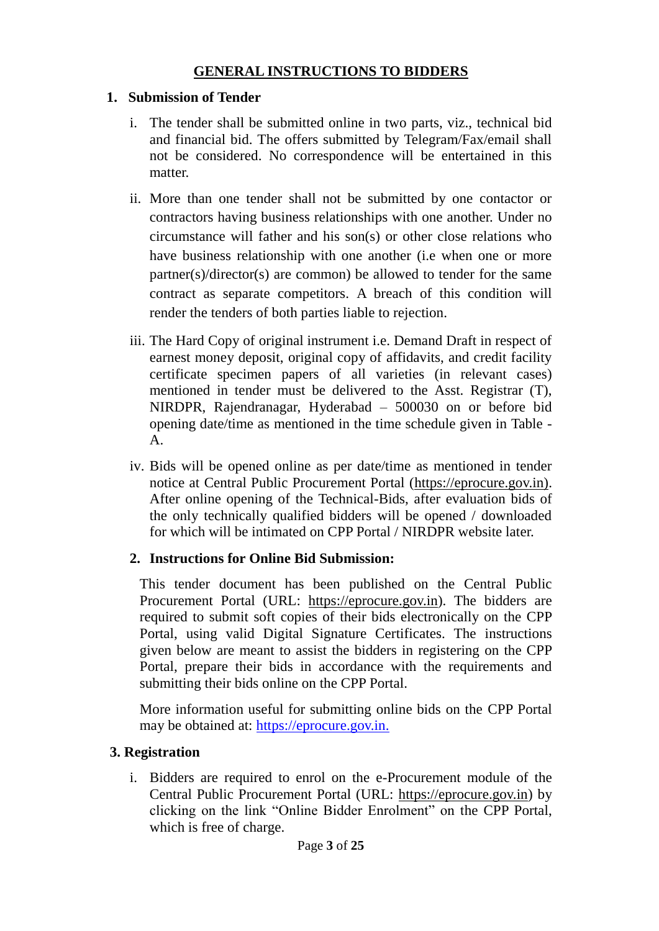### **GENERAL INSTRUCTIONS TO BIDDERS**

### **1. Submission of Tender**

- i. The tender shall be submitted online in two parts, viz., technical bid and financial bid. The offers submitted by Telegram/Fax/email shall not be considered. No correspondence will be entertained in this matter.
- ii. More than one tender shall not be submitted by one contactor or contractors having business relationships with one another. Under no circumstance will father and his son(s) or other close relations who have business relationship with one another (i.e when one or more partner(s)/director(s) are common) be allowed to tender for the same contract as separate competitors. A breach of this condition will render the tenders of both parties liable to rejection.
- iii. The Hard Copy of original instrument i.e. Demand Draft in respect of earnest money deposit, original copy of affidavits, and credit facility certificate specimen papers of all varieties (in relevant cases) mentioned in tender must be delivered to the Asst. Registrar (T), NIRDPR, Rajendranagar, Hyderabad – 500030 on or before bid opening date/time as mentioned in the time schedule given in Table - A.
- iv. Bids will be opened online as per date/time as mentioned in tender notice at Central Public Procurement Portal (https://eprocure.gov.in). After online opening of the Technical-Bids, after evaluation bids of the only technically qualified bidders will be opened / downloaded for which will be intimated on CPP Portal / NIRDPR website later.

# **2. Instructions for Online Bid Submission:**

This tender document has been published on the Central Public Procurement Portal (URL: https://eprocure.gov.in). The bidders are required to submit soft copies of their bids electronically on the CPP Portal, using valid Digital Signature Certificates. The instructions given below are meant to assist the bidders in registering on the CPP Portal, prepare their bids in accordance with the requirements and submitting their bids online on the CPP Portal.

More information useful for submitting online bids on the CPP Portal may be obtained at: https://eprocure.gov.in.

# **3. Registration**

i. Bidders are required to enrol on the e-Procurement module of the Central Public Procurement Portal (URL: https://eprocure.gov.in) by clicking on the link "Online Bidder Enrolment" on the CPP Portal, which is free of charge.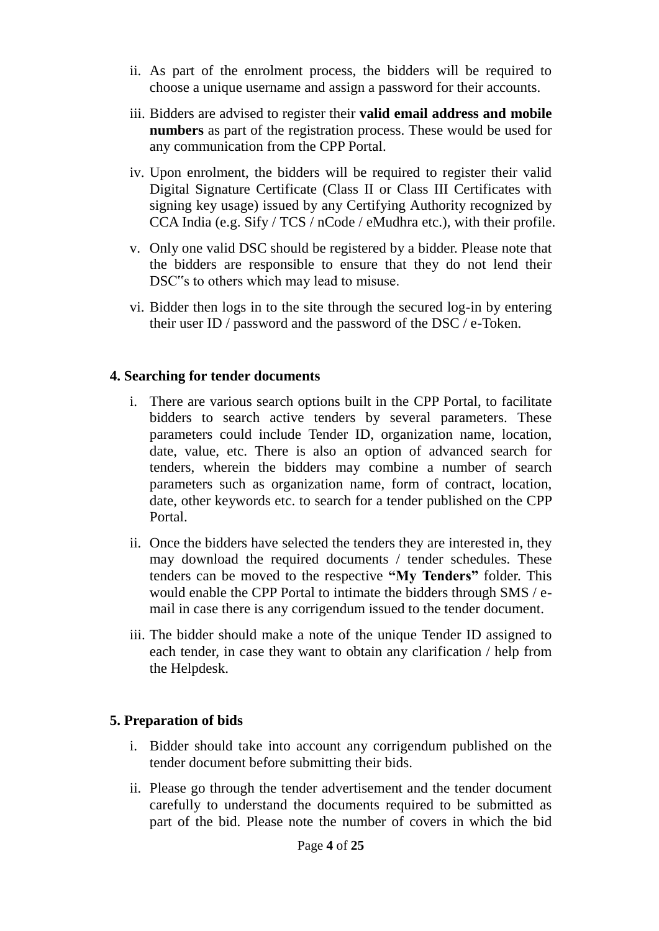- ii. As part of the enrolment process, the bidders will be required to choose a unique username and assign a password for their accounts.
- iii. Bidders are advised to register their **valid email address and mobile numbers** as part of the registration process. These would be used for any communication from the CPP Portal.
- iv. Upon enrolment, the bidders will be required to register their valid Digital Signature Certificate (Class II or Class III Certificates with signing key usage) issued by any Certifying Authority recognized by CCA India (e.g. Sify / TCS / nCode / eMudhra etc.), with their profile.
- v. Only one valid DSC should be registered by a bidder. Please note that the bidders are responsible to ensure that they do not lend their DSC"s to others which may lead to misuse.
- vi. Bidder then logs in to the site through the secured log-in by entering their user ID / password and the password of the DSC / e-Token.

#### **4. Searching for tender documents**

- i. There are various search options built in the CPP Portal, to facilitate bidders to search active tenders by several parameters. These parameters could include Tender ID, organization name, location, date, value, etc. There is also an option of advanced search for tenders, wherein the bidders may combine a number of search parameters such as organization name, form of contract, location, date, other keywords etc. to search for a tender published on the CPP Portal.
- ii. Once the bidders have selected the tenders they are interested in, they may download the required documents / tender schedules. These tenders can be moved to the respective **"My Tenders"** folder. This would enable the CPP Portal to intimate the bidders through SMS / email in case there is any corrigendum issued to the tender document.
- iii. The bidder should make a note of the unique Tender ID assigned to each tender, in case they want to obtain any clarification / help from the Helpdesk.

#### **5. Preparation of bids**

- i. Bidder should take into account any corrigendum published on the tender document before submitting their bids.
- ii. Please go through the tender advertisement and the tender document carefully to understand the documents required to be submitted as part of the bid. Please note the number of covers in which the bid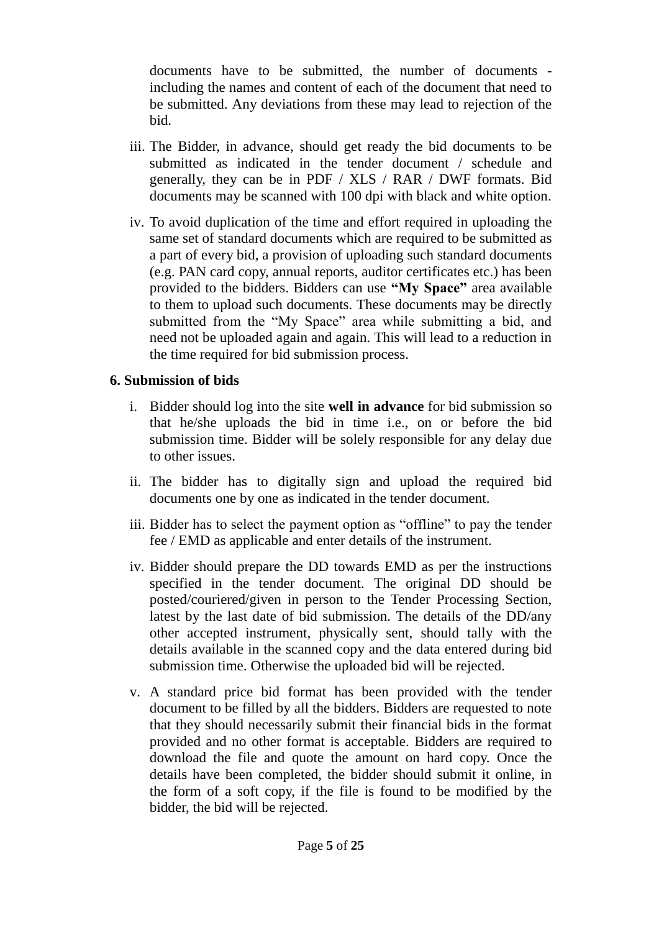documents have to be submitted, the number of documents including the names and content of each of the document that need to be submitted. Any deviations from these may lead to rejection of the bid.

- iii. The Bidder, in advance, should get ready the bid documents to be submitted as indicated in the tender document / schedule and generally, they can be in PDF / XLS / RAR / DWF formats. Bid documents may be scanned with 100 dpi with black and white option.
- iv. To avoid duplication of the time and effort required in uploading the same set of standard documents which are required to be submitted as a part of every bid, a provision of uploading such standard documents (e.g. PAN card copy, annual reports, auditor certificates etc.) has been provided to the bidders. Bidders can use **"My Space"** area available to them to upload such documents. These documents may be directly submitted from the "My Space" area while submitting a bid, and need not be uploaded again and again. This will lead to a reduction in the time required for bid submission process.

#### **6. Submission of bids**

- i. Bidder should log into the site **well in advance** for bid submission so that he/she uploads the bid in time i.e., on or before the bid submission time. Bidder will be solely responsible for any delay due to other issues.
- ii. The bidder has to digitally sign and upload the required bid documents one by one as indicated in the tender document.
- iii. Bidder has to select the payment option as "offline" to pay the tender fee / EMD as applicable and enter details of the instrument.
- iv. Bidder should prepare the DD towards EMD as per the instructions specified in the tender document. The original DD should be posted/couriered/given in person to the Tender Processing Section, latest by the last date of bid submission. The details of the DD/any other accepted instrument, physically sent, should tally with the details available in the scanned copy and the data entered during bid submission time. Otherwise the uploaded bid will be rejected.
- v. A standard price bid format has been provided with the tender document to be filled by all the bidders. Bidders are requested to note that they should necessarily submit their financial bids in the format provided and no other format is acceptable. Bidders are required to download the file and quote the amount on hard copy. Once the details have been completed, the bidder should submit it online, in the form of a soft copy, if the file is found to be modified by the bidder, the bid will be rejected.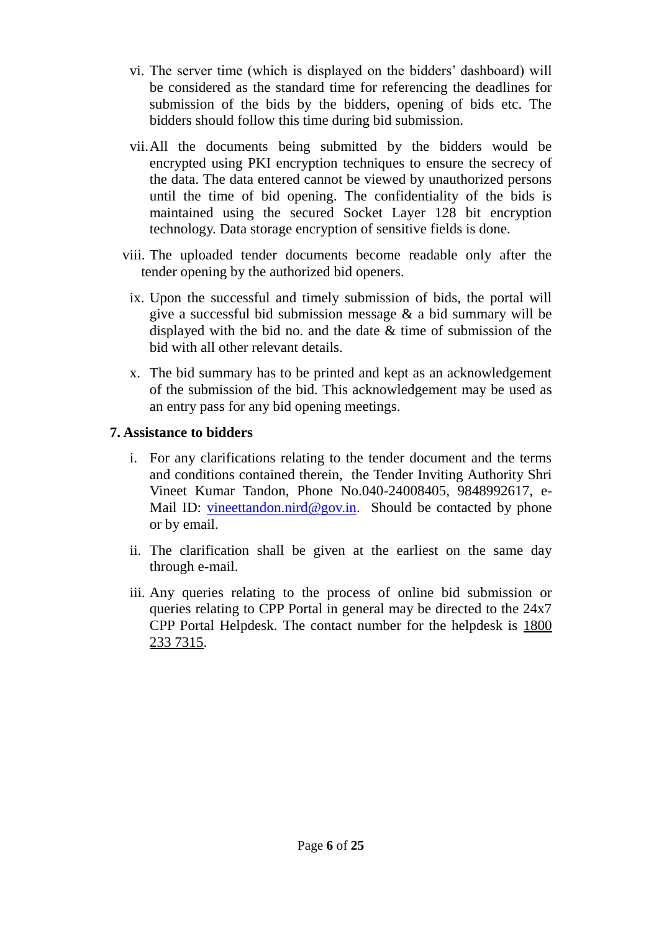- vi. The server time (which is displayed on the bidders' dashboard) will be considered as the standard time for referencing the deadlines for submission of the bids by the bidders, opening of bids etc. The bidders should follow this time during bid submission.
- vii.All the documents being submitted by the bidders would be encrypted using PKI encryption techniques to ensure the secrecy of the data. The data entered cannot be viewed by unauthorized persons until the time of bid opening. The confidentiality of the bids is maintained using the secured Socket Layer 128 bit encryption technology. Data storage encryption of sensitive fields is done.
- viii. The uploaded tender documents become readable only after the tender opening by the authorized bid openers.
	- ix. Upon the successful and timely submission of bids, the portal will give a successful bid submission message & a bid summary will be displayed with the bid no. and the date & time of submission of the bid with all other relevant details.
	- x. The bid summary has to be printed and kept as an acknowledgement of the submission of the bid. This acknowledgement may be used as an entry pass for any bid opening meetings.

#### **7. Assistance to bidders**

- i. For any clarifications relating to the tender document and the terms and conditions contained therein, the Tender Inviting Authority Shri Vineet Kumar Tandon, Phone No.040-24008405, 9848992617, eMail ID: [vineettandon.nird@gov.in.](mailto:vineettandon.nird@gov.in) Should be contacted by phone or by email.
- ii. The clarification shall be given at the earliest on the same day through e-mail.
- iii. Any queries relating to the process of online bid submission or queries relating to CPP Portal in general may be directed to the 24x7 CPP Portal Helpdesk. The contact number for the helpdesk is 1800 233 7315.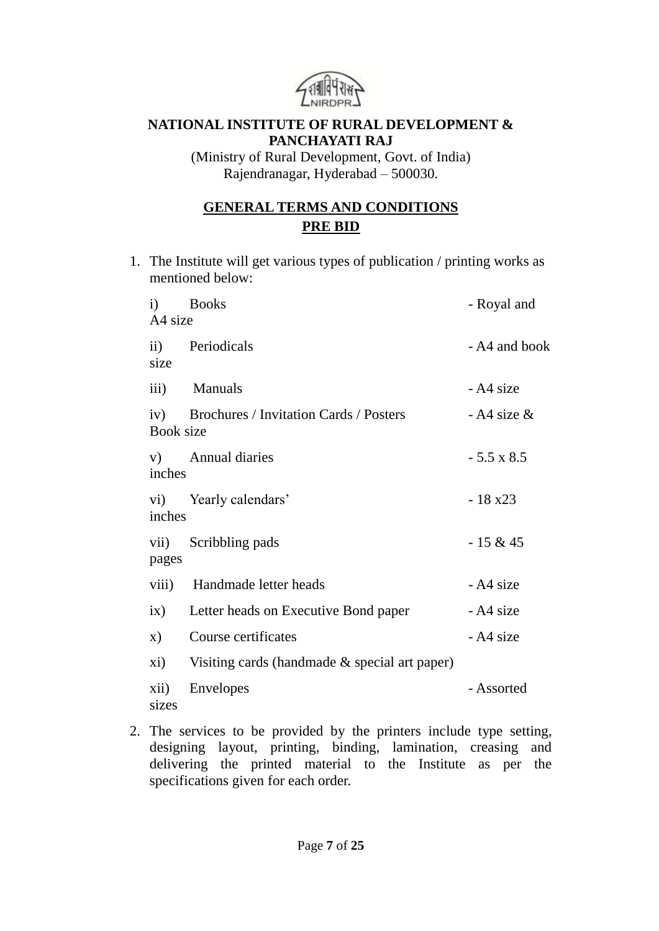

#### **NATIONAL INSTITUTE OF RURAL DEVELOPMENT & PANCHAYATI RAJ**

(Ministry of Rural Development, Govt. of India) Rajendranagar, Hyderabad – 500030.

# **GENERAL TERMS AND CONDITIONS PRE BID**

1. The Institute will get various types of publication / printing works as mentioned below:

| $\mathbf{i}$<br>A4 size | <b>Books</b>                                     | - Royal and       |
|-------------------------|--------------------------------------------------|-------------------|
| size                    | ii) Periodicals                                  | - A4 and book     |
| $\overline{iii}$ )      | <b>Manuals</b>                                   | - A4 size         |
| <b>Book size</b>        | iv) Brochures / Invitation Cards / Posters       | $-$ A4 size &     |
| inches                  | v) Annual diaries                                | $-5.5 \times 8.5$ |
| inches                  | vi) Yearly calendars'                            | $-18x23$          |
| pages                   | vii) Scribbling pads                             | $-15 & 45$        |
|                         | viii) Handmade letter heads                      | - A4 size         |
|                         | ix) Letter heads on Executive Bond paper         | - A4 size         |
| $\mathbf{x})$           | Course certificates                              | - A4 size         |
| xi)                     | Visiting cards (handmade $\&$ special art paper) |                   |
| xii)<br>sizes           | Envelopes                                        | - Assorted        |

2. The services to be provided by the printers include type setting, designing layout, printing, binding, lamination, creasing and delivering the printed material to the Institute as per the specifications given for each order.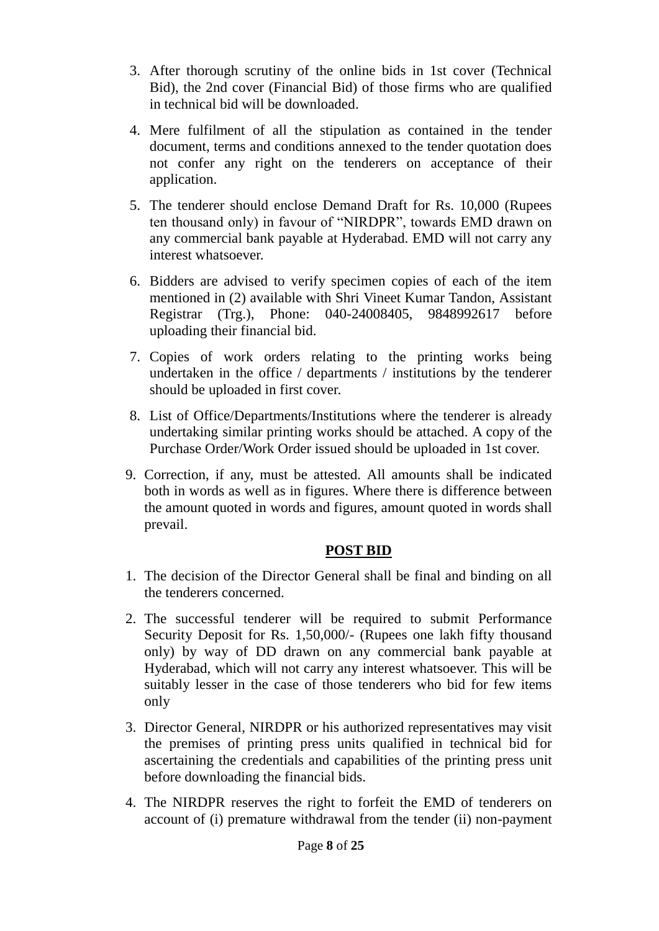- 3. After thorough scrutiny of the online bids in 1st cover (Technical Bid), the 2nd cover (Financial Bid) of those firms who are qualified in technical bid will be downloaded.
- 4. Mere fulfilment of all the stipulation as contained in the tender document, terms and conditions annexed to the tender quotation does not confer any right on the tenderers on acceptance of their application.
- 5. The tenderer should enclose Demand Draft for Rs. 10,000 (Rupees ten thousand only) in favour of "NIRDPR", towards EMD drawn on any commercial bank payable at Hyderabad. EMD will not carry any interest whatsoever.
- 6. Bidders are advised to verify specimen copies of each of the item mentioned in (2) available with Shri Vineet Kumar Tandon, Assistant Registrar (Trg.), Phone: 040-24008405, 9848992617 before uploading their financial bid.
- 7. Copies of work orders relating to the printing works being undertaken in the office / departments / institutions by the tenderer should be uploaded in first cover.
- 8. List of Office/Departments/Institutions where the tenderer is already undertaking similar printing works should be attached. A copy of the Purchase Order/Work Order issued should be uploaded in 1st cover.
- 9. Correction, if any, must be attested. All amounts shall be indicated both in words as well as in figures. Where there is difference between the amount quoted in words and figures, amount quoted in words shall prevail.

#### **POST BID**

- 1. The decision of the Director General shall be final and binding on all the tenderers concerned.
- 2. The successful tenderer will be required to submit Performance Security Deposit for Rs. 1,50,000/- (Rupees one lakh fifty thousand only) by way of DD drawn on any commercial bank payable at Hyderabad, which will not carry any interest whatsoever. This will be suitably lesser in the case of those tenderers who bid for few items only
- 3. Director General, NIRDPR or his authorized representatives may visit the premises of printing press units qualified in technical bid for ascertaining the credentials and capabilities of the printing press unit before downloading the financial bids.
- 4. The NIRDPR reserves the right to forfeit the EMD of tenderers on account of (i) premature withdrawal from the tender (ii) non-payment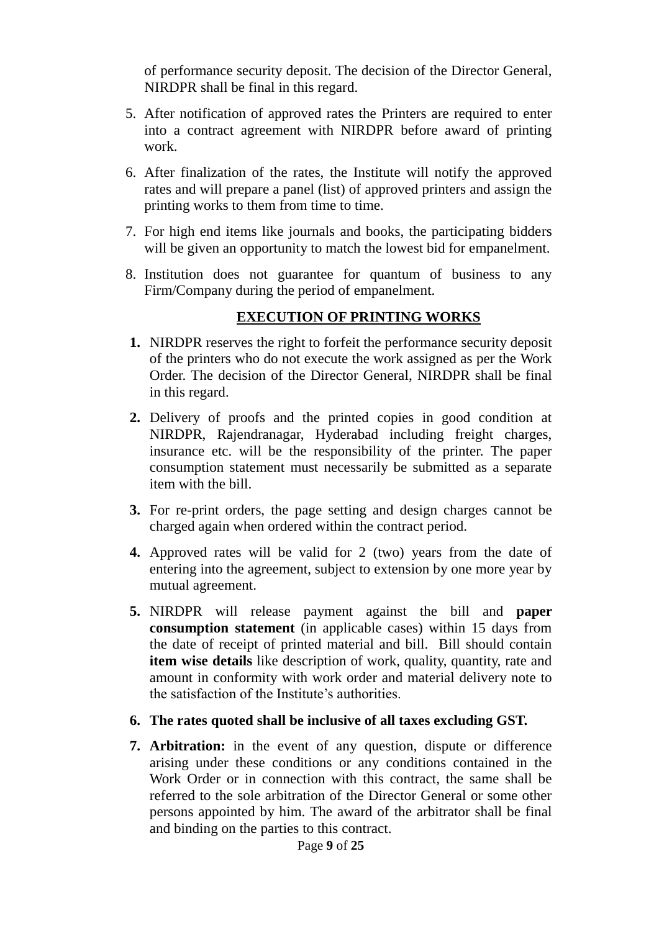of performance security deposit. The decision of the Director General, NIRDPR shall be final in this regard.

- 5. After notification of approved rates the Printers are required to enter into a contract agreement with NIRDPR before award of printing work.
- 6. After finalization of the rates, the Institute will notify the approved rates and will prepare a panel (list) of approved printers and assign the printing works to them from time to time.
- 7. For high end items like journals and books, the participating bidders will be given an opportunity to match the lowest bid for empanelment.
- 8. Institution does not guarantee for quantum of business to any Firm/Company during the period of empanelment.

### **EXECUTION OF PRINTING WORKS**

- **1.** NIRDPR reserves the right to forfeit the performance security deposit of the printers who do not execute the work assigned as per the Work Order. The decision of the Director General, NIRDPR shall be final in this regard.
- **2.** Delivery of proofs and the printed copies in good condition at NIRDPR, Rajendranagar, Hyderabad including freight charges, insurance etc. will be the responsibility of the printer. The paper consumption statement must necessarily be submitted as a separate item with the bill.
- **3.** For re-print orders, the page setting and design charges cannot be charged again when ordered within the contract period.
- **4.** Approved rates will be valid for 2 (two) years from the date of entering into the agreement, subject to extension by one more year by mutual agreement.
- **5.** NIRDPR will release payment against the bill and **paper consumption statement** (in applicable cases) within 15 days from the date of receipt of printed material and bill. Bill should contain **item wise details** like description of work, quality, quantity, rate and amount in conformity with work order and material delivery note to the satisfaction of the Institute's authorities.
- **6. The rates quoted shall be inclusive of all taxes excluding GST.**
- **7. Arbitration:** in the event of any question, dispute or difference arising under these conditions or any conditions contained in the Work Order or in connection with this contract, the same shall be referred to the sole arbitration of the Director General or some other persons appointed by him. The award of the arbitrator shall be final and binding on the parties to this contract.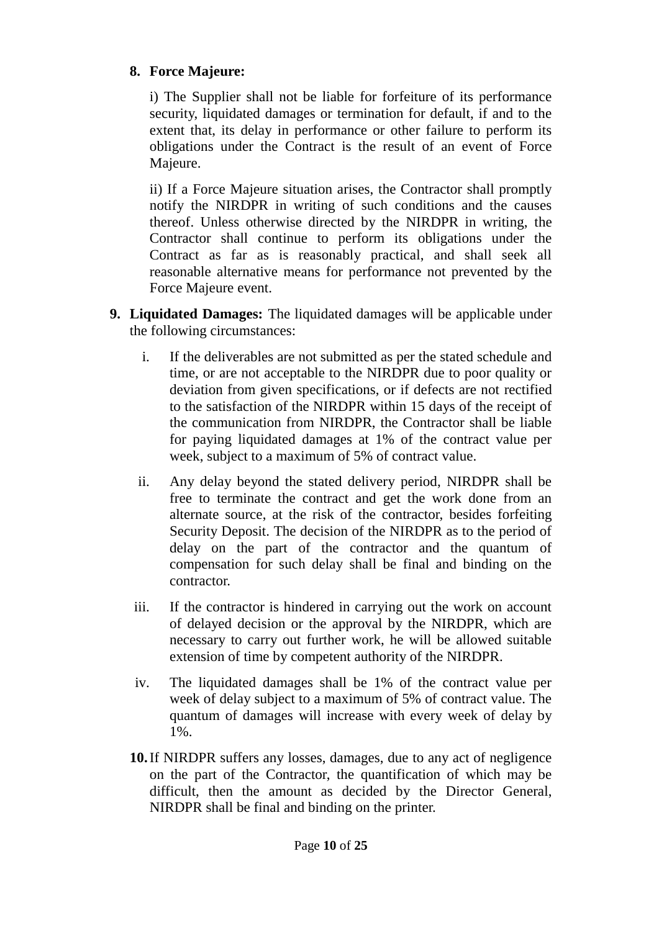### **8. Force Majeure:**

i) The Supplier shall not be liable for forfeiture of its performance security, liquidated damages or termination for default, if and to the extent that, its delay in performance or other failure to perform its obligations under the Contract is the result of an event of Force Majeure.

ii) If a Force Majeure situation arises, the Contractor shall promptly notify the NIRDPR in writing of such conditions and the causes thereof. Unless otherwise directed by the NIRDPR in writing, the Contractor shall continue to perform its obligations under the Contract as far as is reasonably practical, and shall seek all reasonable alternative means for performance not prevented by the Force Majeure event.

- **9. Liquidated Damages:** The liquidated damages will be applicable under the following circumstances:
	- i. If the deliverables are not submitted as per the stated schedule and time, or are not acceptable to the NIRDPR due to poor quality or deviation from given specifications, or if defects are not rectified to the satisfaction of the NIRDPR within 15 days of the receipt of the communication from NIRDPR, the Contractor shall be liable for paying liquidated damages at 1% of the contract value per week, subject to a maximum of 5% of contract value.
	- ii. Any delay beyond the stated delivery period, NIRDPR shall be free to terminate the contract and get the work done from an alternate source, at the risk of the contractor, besides forfeiting Security Deposit. The decision of the NIRDPR as to the period of delay on the part of the contractor and the quantum of compensation for such delay shall be final and binding on the contractor.
	- iii. If the contractor is hindered in carrying out the work on account of delayed decision or the approval by the NIRDPR, which are necessary to carry out further work, he will be allowed suitable extension of time by competent authority of the NIRDPR.
	- iv. The liquidated damages shall be 1% of the contract value per week of delay subject to a maximum of 5% of contract value. The quantum of damages will increase with every week of delay by 1%.
	- **10.**If NIRDPR suffers any losses, damages, due to any act of negligence on the part of the Contractor, the quantification of which may be difficult, then the amount as decided by the Director General, NIRDPR shall be final and binding on the printer.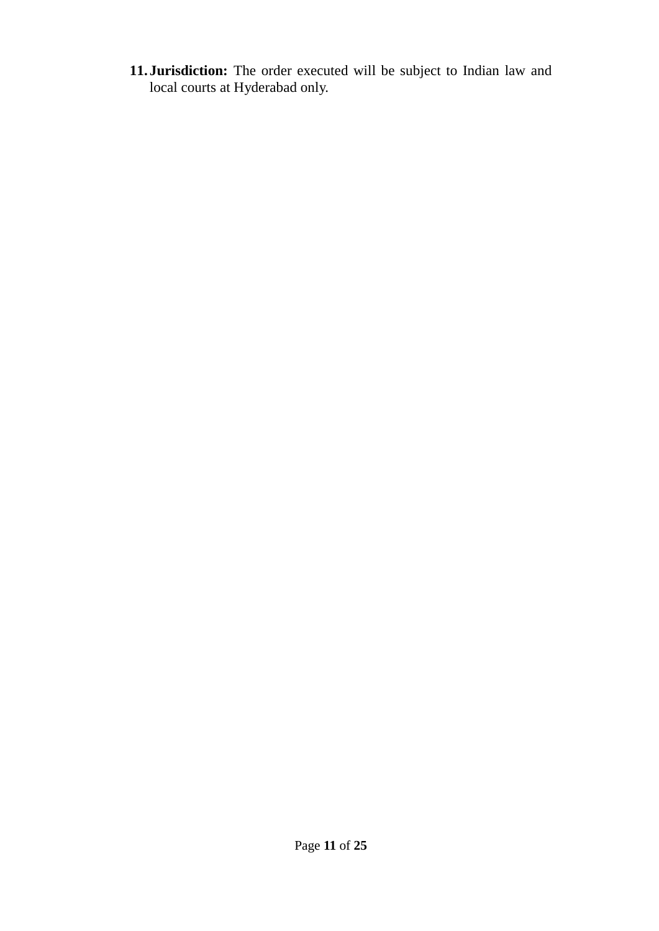**11. Jurisdiction:** The order executed will be subject to Indian law and local courts at Hyderabad only.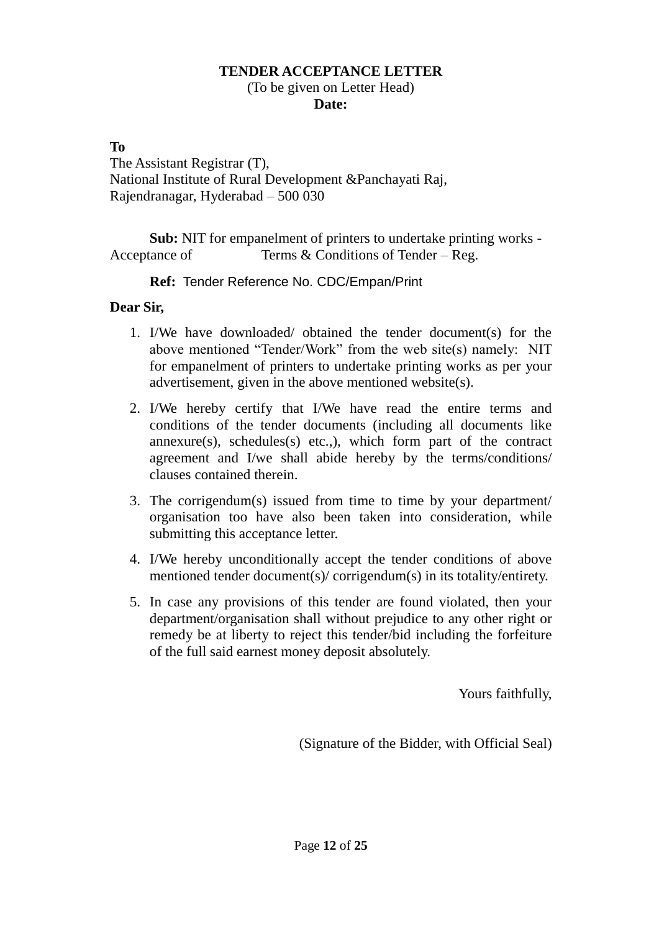#### **TENDER ACCEPTANCE LETTER** (To be given on Letter Head) **Date:**

#### **To**

The Assistant Registrar (T), National Institute of Rural Development &Panchayati Raj, Rajendranagar, Hyderabad – 500 030

**Sub:** NIT for empanelment of printers to undertake printing works - Acceptance of Terms & Conditions of Tender – Reg.

**Ref:** Tender Reference No. [CDC/Empan/Print](https://nirdpr.eoffice.gov.in/eFile/?x=SHyQfLkVy89cQ7RrYwwGtVP2GiiqKf-F)

#### **Dear Sir,**

- 1. I/We have downloaded/ obtained the tender document(s) for the above mentioned "Tender/Work" from the web site(s) namely: NIT for empanelment of printers to undertake printing works as per your advertisement, given in the above mentioned website(s).
- 2. I/We hereby certify that I/We have read the entire terms and conditions of the tender documents (including all documents like  $annexure(s)$ , schedules $(s)$  etc..), which form part of the contract agreement and I/we shall abide hereby by the terms/conditions/ clauses contained therein.
- 3. The corrigendum(s) issued from time to time by your department/ organisation too have also been taken into consideration, while submitting this acceptance letter.
- 4. I/We hereby unconditionally accept the tender conditions of above mentioned tender document(s)/ corrigendum(s) in its totality/entirety.
- 5. In case any provisions of this tender are found violated, then your department/organisation shall without prejudice to any other right or remedy be at liberty to reject this tender/bid including the forfeiture of the full said earnest money deposit absolutely.

Yours faithfully,

(Signature of the Bidder, with Official Seal)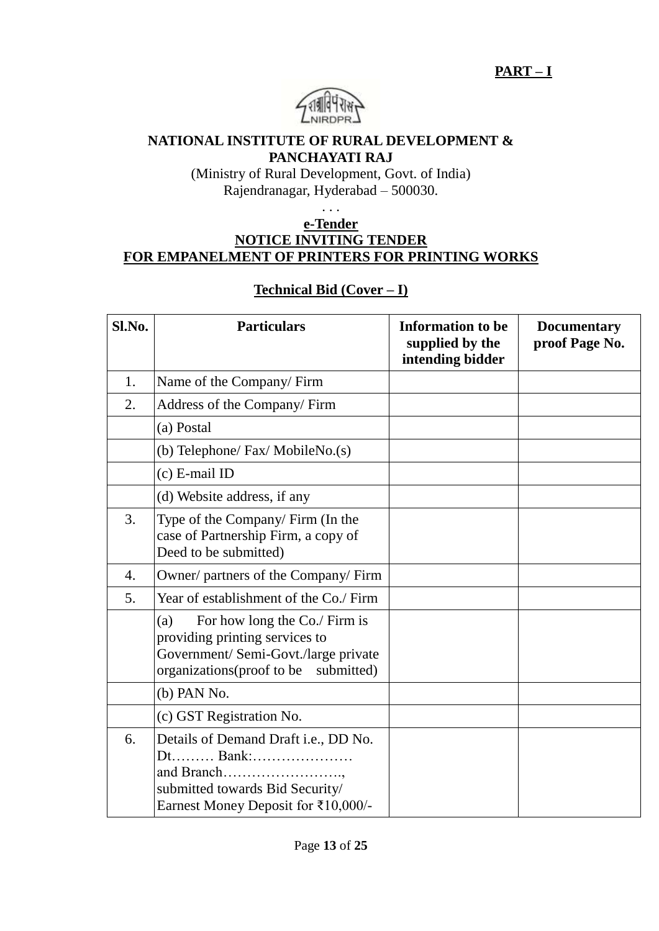

#### **NATIONAL INSTITUTE OF RURAL DEVELOPMENT & PANCHAYATI RAJ**

(Ministry of Rural Development, Govt. of India) Rajendranagar, Hyderabad – 500030.

. . .

#### **e-Tender NOTICE INVITING TENDER FOR EMPANELMENT OF PRINTERS FOR PRINTING WORKS**

### **Technical Bid (Cover – I)**

| Sl.No. | <b>Particulars</b>                                                                                                                                     | <b>Information to be</b><br>supplied by the<br>intending bidder | <b>Documentary</b><br>proof Page No. |
|--------|--------------------------------------------------------------------------------------------------------------------------------------------------------|-----------------------------------------------------------------|--------------------------------------|
| 1.     | Name of the Company/Firm                                                                                                                               |                                                                 |                                      |
| 2.     | Address of the Company/ Firm                                                                                                                           |                                                                 |                                      |
|        | (a) Postal                                                                                                                                             |                                                                 |                                      |
|        | (b) Telephone/ Fax/ MobileNo.(s)                                                                                                                       |                                                                 |                                      |
|        | $(c)$ E-mail ID                                                                                                                                        |                                                                 |                                      |
|        | (d) Website address, if any                                                                                                                            |                                                                 |                                      |
| 3.     | Type of the Company/Firm (In the<br>case of Partnership Firm, a copy of<br>Deed to be submitted)                                                       |                                                                 |                                      |
| 4.     | Owner/ partners of the Company/ Firm                                                                                                                   |                                                                 |                                      |
| 5.     | Year of establishment of the Co./ Firm                                                                                                                 |                                                                 |                                      |
|        | For how long the Co./ Firm is<br>(a)<br>providing printing services to<br>Government/ Semi-Govt./large private<br>organizations(proof to be submitted) |                                                                 |                                      |
|        | (b) PAN No.                                                                                                                                            |                                                                 |                                      |
|        | (c) GST Registration No.                                                                                                                               |                                                                 |                                      |
| 6.     | Details of Demand Draft i.e., DD No.<br>Dt Bank:<br>and Branch<br>submitted towards Bid Security/<br>Earnest Money Deposit for ₹10,000/-               |                                                                 |                                      |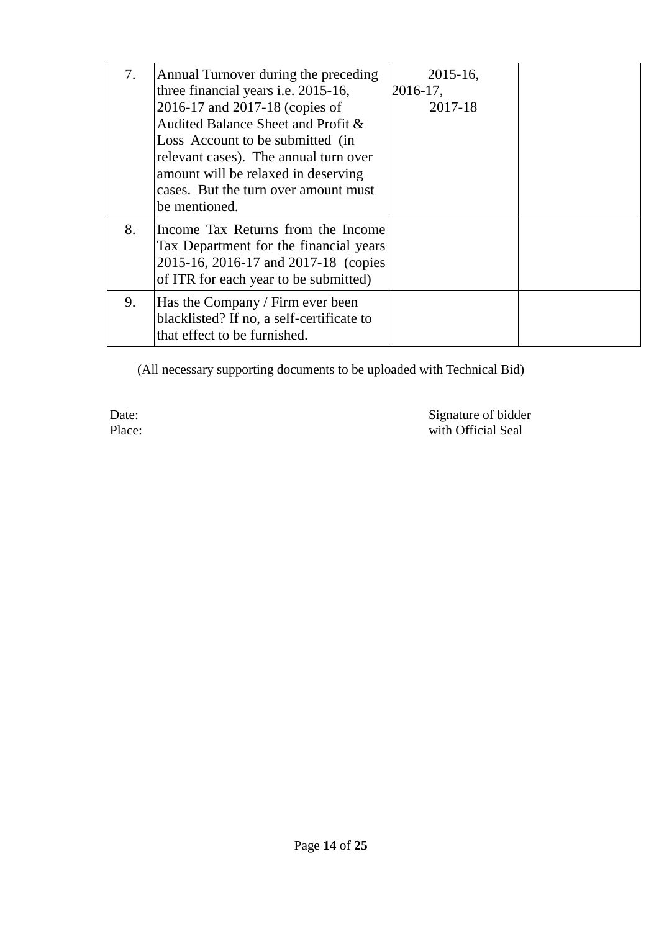| 7. | Annual Turnover during the preceding                                                                                                                           | $2015 - 16$ , |  |
|----|----------------------------------------------------------------------------------------------------------------------------------------------------------------|---------------|--|
|    | three financial years <i>i.e.</i> 2015-16,                                                                                                                     | $2016-17$ ,   |  |
|    | 2016-17 and 2017-18 (copies of                                                                                                                                 | 2017-18       |  |
|    | Audited Balance Sheet and Profit &                                                                                                                             |               |  |
|    | Loss Account to be submitted (in                                                                                                                               |               |  |
|    | relevant cases). The annual turn over                                                                                                                          |               |  |
|    | amount will be relaxed in deserving                                                                                                                            |               |  |
|    | cases. But the turn over amount must                                                                                                                           |               |  |
|    | be mentioned.                                                                                                                                                  |               |  |
| 8. | Income Tax Returns from the Income<br>Tax Department for the financial years<br>2015-16, 2016-17 and 2017-18 (copies)<br>of ITR for each year to be submitted) |               |  |
| 9. | Has the Company / Firm ever been<br>blacklisted? If no, a self-certificate to<br>that effect to be furnished.                                                  |               |  |

(All necessary supporting documents to be uploaded with Technical Bid)

Date: Signature of bidder Place: with Official Seal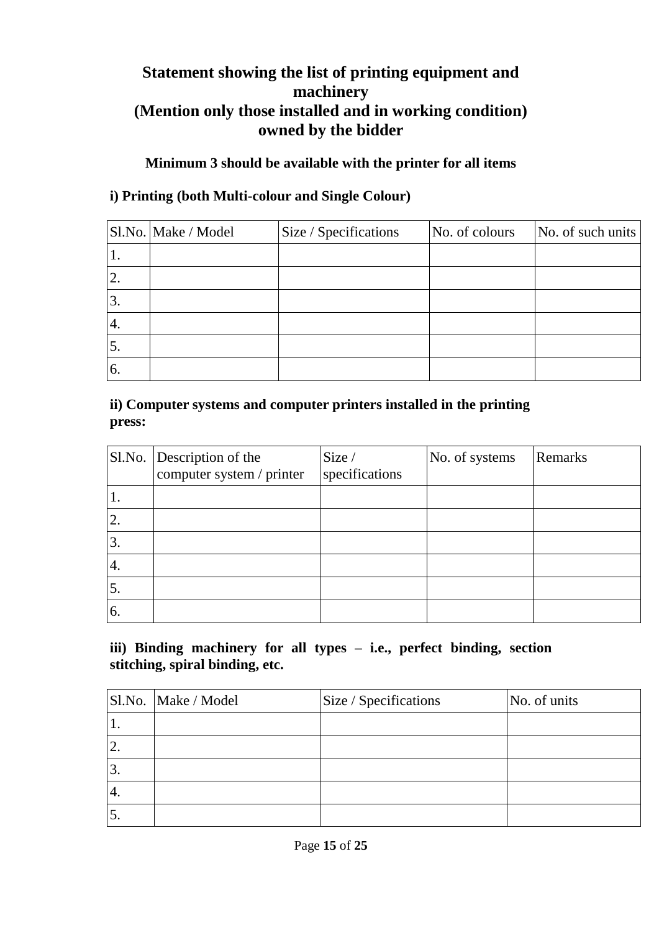# **Statement showing the list of printing equipment and machinery (Mention only those installed and in working condition) owned by the bidder**

### **Minimum 3 should be available with the printer for all items**

## **i) Printing (both Multi-colour and Single Colour)**

|    | Sl.No. Make / Model | Size / Specifications | No. of colours | No. of such units |
|----|---------------------|-----------------------|----------------|-------------------|
| ı. |                     |                       |                |                   |
| 2. |                     |                       |                |                   |
| 3. |                     |                       |                |                   |
| 4. |                     |                       |                |                   |
| 5. |                     |                       |                |                   |
| 6. |                     |                       |                |                   |

### **ii) Computer systems and computer printers installed in the printing press:**

|                | Sl.No. Description of the<br>computer system / printer | Size /<br>specifications | No. of systems | Remarks |
|----------------|--------------------------------------------------------|--------------------------|----------------|---------|
| ι.             |                                                        |                          |                |         |
| $^{\prime}$ 2. |                                                        |                          |                |         |
| 3.             |                                                        |                          |                |         |
| '4.            |                                                        |                          |                |         |
| 5.             |                                                        |                          |                |         |
| 6.             |                                                        |                          |                |         |

#### **iii) Binding machinery for all types – i.e., perfect binding, section stitching, spiral binding, etc.**

|           | Sl.No. Make / Model | Size / Specifications | No. of units |
|-----------|---------------------|-----------------------|--------------|
| <b>1.</b> |                     |                       |              |
|           |                     |                       |              |
| 3.        |                     |                       |              |
| 4.        |                     |                       |              |
| J.        |                     |                       |              |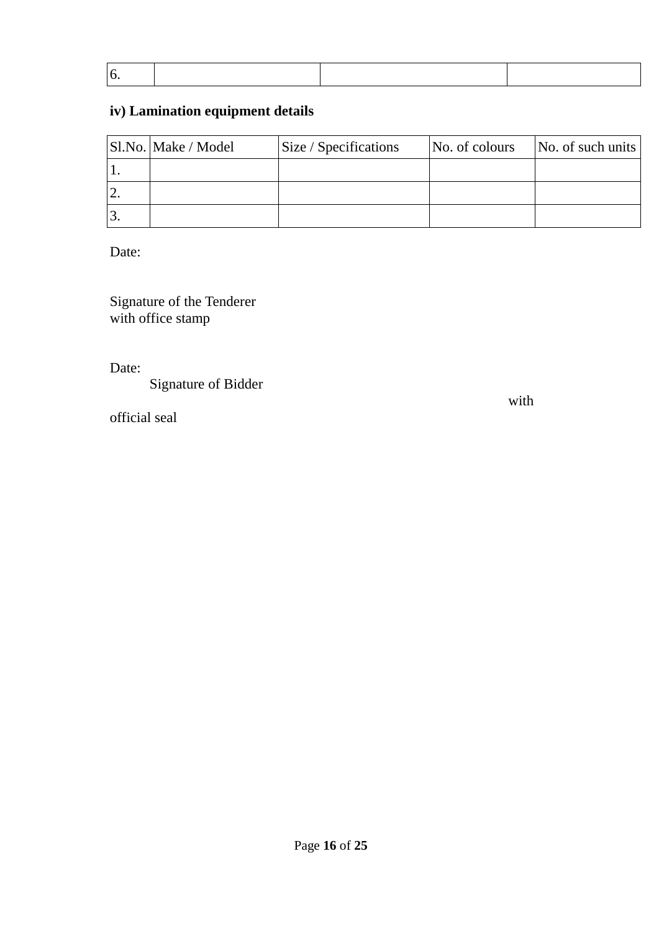|  | ○ <b>《大学》中的《大学》中的《大学》中的《大学》中的《大学》中的《大学》中的《大学》中的《大学》中的《大学》中的《大学》中的《大学》中的《大学》中的《大学》中</b> |  |
|--|----------------------------------------------------------------------------------------|--|
|  |                                                                                        |  |

# **iv) Lamination equipment details**

| Sl.No. Make / Model | Size / Specifications | No. of colours | No. of such units |
|---------------------|-----------------------|----------------|-------------------|
|                     |                       |                |                   |
|                     |                       |                |                   |
|                     |                       |                |                   |

Date:

Signature of the Tenderer with office stamp

Date:

Signature of Bidder

official seal

with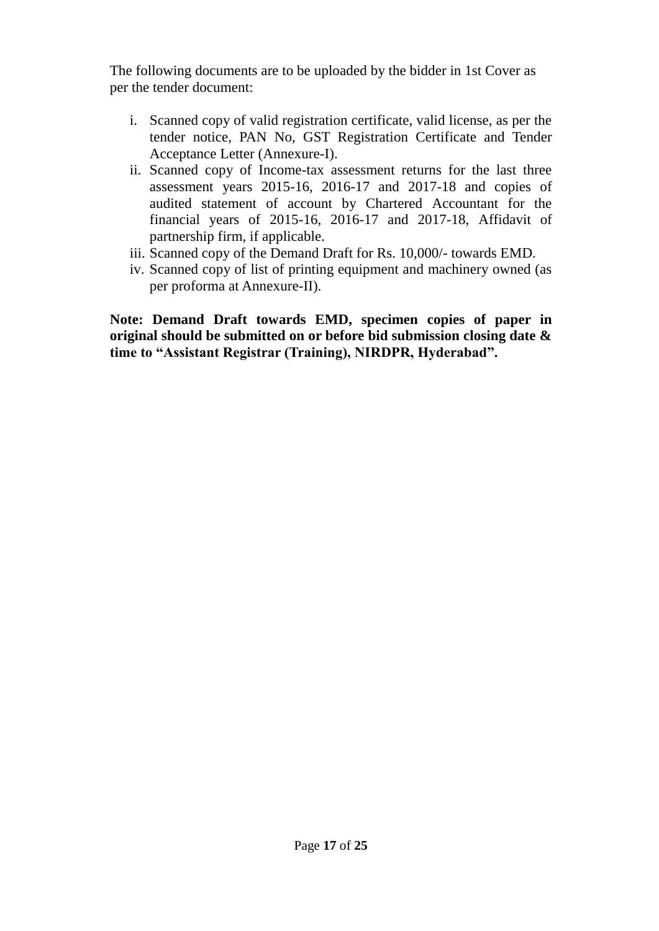The following documents are to be uploaded by the bidder in 1st Cover as per the tender document:

- i. Scanned copy of valid registration certificate, valid license, as per the tender notice, PAN No, GST Registration Certificate and Tender Acceptance Letter (Annexure-I).
- ii. Scanned copy of Income-tax assessment returns for the last three assessment years 2015-16, 2016-17 and 2017-18 and copies of audited statement of account by Chartered Accountant for the financial years of 2015-16, 2016-17 and 2017-18, Affidavit of partnership firm, if applicable.
- iii. Scanned copy of the Demand Draft for Rs. 10,000/- towards EMD.
- iv. Scanned copy of list of printing equipment and machinery owned (as per proforma at Annexure-II).

**Note: Demand Draft towards EMD, specimen copies of paper in original should be submitted on or before bid submission closing date & time to "Assistant Registrar (Training), NIRDPR, Hyderabad".**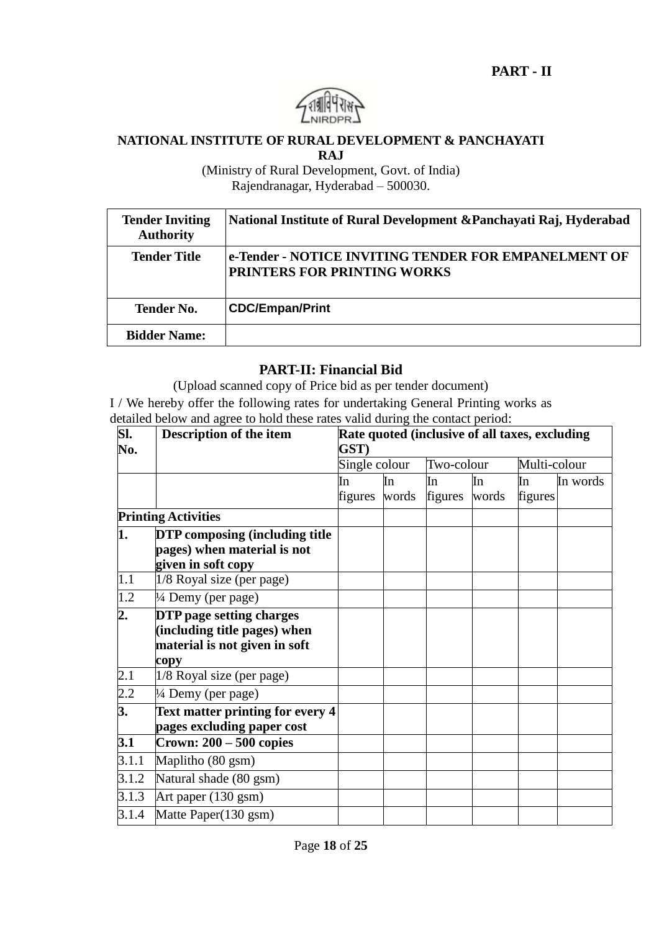

#### **NATIONAL INSTITUTE OF RURAL DEVELOPMENT & PANCHAYATI**

**RAJ**

(Ministry of Rural Development, Govt. of India) Rajendranagar, Hyderabad – 500030.

| <b>Tender Inviting</b><br><b>Authority</b> | National Institute of Rural Development & Panchayati Raj, Hyderabad                        |
|--------------------------------------------|--------------------------------------------------------------------------------------------|
| <b>Tender Title</b>                        | e-Tender - NOTICE INVITING TENDER FOR EMPANELMENT OF<br><b>PRINTERS FOR PRINTING WORKS</b> |
| <b>Tender No.</b>                          | <b>CDC/Empan/Print</b>                                                                     |
| <b>Bidder Name:</b>                        |                                                                                            |

#### **PART-II: Financial Bid**

(Upload scanned copy of Price bid as per tender document)

I / We hereby offer the following rates for undertaking General Printing works as detailed below and agree to hold these rates valid during the contact period:

| SI.     | Description of the item                 | Rate quoted (inclusive of all taxes, excluding |       |            |       |              |          |
|---------|-----------------------------------------|------------------------------------------------|-------|------------|-------|--------------|----------|
| No.     |                                         |                                                | GST)  |            |       |              |          |
|         |                                         | Single colour                                  |       | Two-colour |       | Multi-colour |          |
|         |                                         | In                                             | In    | In         | In    | In           | In words |
|         |                                         | figures                                        | words | figures    | words | figures      |          |
|         | <b>Printing Activities</b>              |                                                |       |            |       |              |          |
| 1.      | <b>DTP</b> composing (including title   |                                                |       |            |       |              |          |
|         | pages) when material is not             |                                                |       |            |       |              |          |
|         | given in soft copy                      |                                                |       |            |       |              |          |
| 1.1     | 1/8 Royal size (per page)               |                                                |       |            |       |              |          |
| 1.2     | 1/4 Demy (per page)                     |                                                |       |            |       |              |          |
| 2.      | <b>DTP</b> page setting charges         |                                                |       |            |       |              |          |
|         | (including title pages) when            |                                                |       |            |       |              |          |
|         | material is not given in soft           |                                                |       |            |       |              |          |
|         | copy                                    |                                                |       |            |       |              |          |
| 2.1     | 1/8 Royal size (per page)               |                                                |       |            |       |              |          |
| $2.2\,$ | $\frac{1}{4}$ Demy (per page)           |                                                |       |            |       |              |          |
| 3.      | <b>Text matter printing for every 4</b> |                                                |       |            |       |              |          |
|         | pages excluding paper cost              |                                                |       |            |       |              |          |
| 3.1     | Crown: $200 - 500$ copies               |                                                |       |            |       |              |          |
| 3.1.1   | Maplitho (80 gsm)                       |                                                |       |            |       |              |          |
| 3.1.2   | Natural shade (80 gsm)                  |                                                |       |            |       |              |          |
| 3.1.3   | Art paper (130 gsm)                     |                                                |       |            |       |              |          |
| 3.1.4   | Matte Paper(130 gsm)                    |                                                |       |            |       |              |          |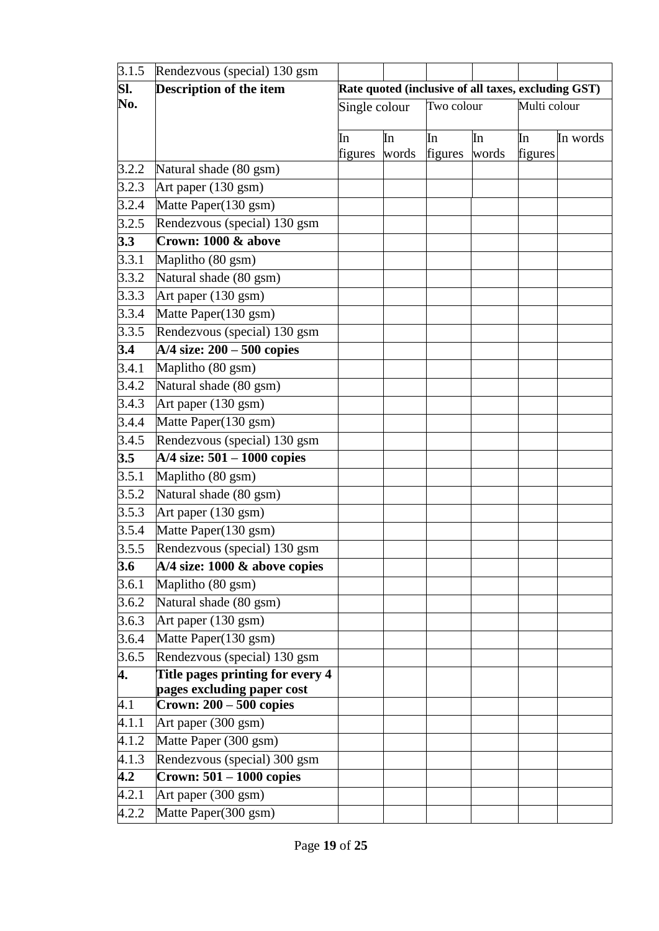| 3.1.5 | Rendezvous (special) 130 gsm            |                                                     |             |               |             |               |          |
|-------|-----------------------------------------|-----------------------------------------------------|-------------|---------------|-------------|---------------|----------|
| Sl.   | <b>Description of the item</b>          | Rate quoted (inclusive of all taxes, excluding GST) |             |               |             |               |          |
| No.   |                                         | Single colour                                       |             | Two colour    |             | Multi colour  |          |
|       |                                         |                                                     |             |               |             |               |          |
|       |                                         | In<br>figures                                       | In<br>words | In<br>figures | In<br>words | In<br>figures | In words |
| 3.2.2 | Natural shade (80 gsm)                  |                                                     |             |               |             |               |          |
| 3.2.3 | Art paper (130 gsm)                     |                                                     |             |               |             |               |          |
| 3.2.4 | Matte Paper(130 gsm)                    |                                                     |             |               |             |               |          |
| 3.2.5 | Rendezvous (special) 130 gsm            |                                                     |             |               |             |               |          |
| 3.3   | Crown: 1000 & above                     |                                                     |             |               |             |               |          |
| 3.3.1 | Maplitho (80 gsm)                       |                                                     |             |               |             |               |          |
| 3.3.2 | Natural shade (80 gsm)                  |                                                     |             |               |             |               |          |
| 3.3.3 | Art paper (130 gsm)                     |                                                     |             |               |             |               |          |
| 3.3.4 | Matte Paper(130 gsm)                    |                                                     |             |               |             |               |          |
| 3.3.5 | Rendezvous (special) 130 gsm            |                                                     |             |               |             |               |          |
| 3.4   | $A/4$ size: $200 - 500$ copies          |                                                     |             |               |             |               |          |
| 3.4.1 | Maplitho (80 gsm)                       |                                                     |             |               |             |               |          |
| 3.4.2 | Natural shade (80 gsm)                  |                                                     |             |               |             |               |          |
| 3.4.3 | Art paper $(130 \overline{\text{gsm}})$ |                                                     |             |               |             |               |          |
| 3.4.4 | Matte Paper(130 gsm)                    |                                                     |             |               |             |               |          |
| 3.4.5 | Rendezvous (special) 130 gsm            |                                                     |             |               |             |               |          |
| 3.5   | $A/4$ size: 501 – 1000 copies           |                                                     |             |               |             |               |          |
| 3.5.1 | Maplitho (80 gsm)                       |                                                     |             |               |             |               |          |
| 3.5.2 | Natural shade (80 gsm)                  |                                                     |             |               |             |               |          |
| 3.5.3 | Art paper (130 gsm)                     |                                                     |             |               |             |               |          |
| 3.5.4 | Matte Paper(130 gsm)                    |                                                     |             |               |             |               |          |
| 3.5.5 | Rendezvous (special) 130 gsm            |                                                     |             |               |             |               |          |
| 3.6   | $A/4$ size: 1000 & above copies         |                                                     |             |               |             |               |          |
| 3.6.1 | Maplitho (80 gsm)                       |                                                     |             |               |             |               |          |
| 3.6.2 | Natural shade (80 gsm)                  |                                                     |             |               |             |               |          |
| 3.6.3 | Art paper (130 gsm)                     |                                                     |             |               |             |               |          |
| 3.6.4 | Matte Paper(130 gsm)                    |                                                     |             |               |             |               |          |
| 3.6.5 | Rendezvous (special) 130 gsm            |                                                     |             |               |             |               |          |
| 4.    | Title pages printing for every 4        |                                                     |             |               |             |               |          |
|       | pages excluding paper cost              |                                                     |             |               |             |               |          |
| 4.1   | Crown: $200 - 500$ copies               |                                                     |             |               |             |               |          |
| 4.1.1 | Art paper (300 gsm)                     |                                                     |             |               |             |               |          |
| 4.1.2 | Matte Paper (300 gsm)                   |                                                     |             |               |             |               |          |
| 4.1.3 | Rendezvous (special) 300 gsm            |                                                     |             |               |             |               |          |
| 4.2   | Crown: $501 - 1000$ copies              |                                                     |             |               |             |               |          |
| 4.2.1 | Art paper (300 gsm)                     |                                                     |             |               |             |               |          |
| 4.2.2 | Matte Paper(300 gsm)                    |                                                     |             |               |             |               |          |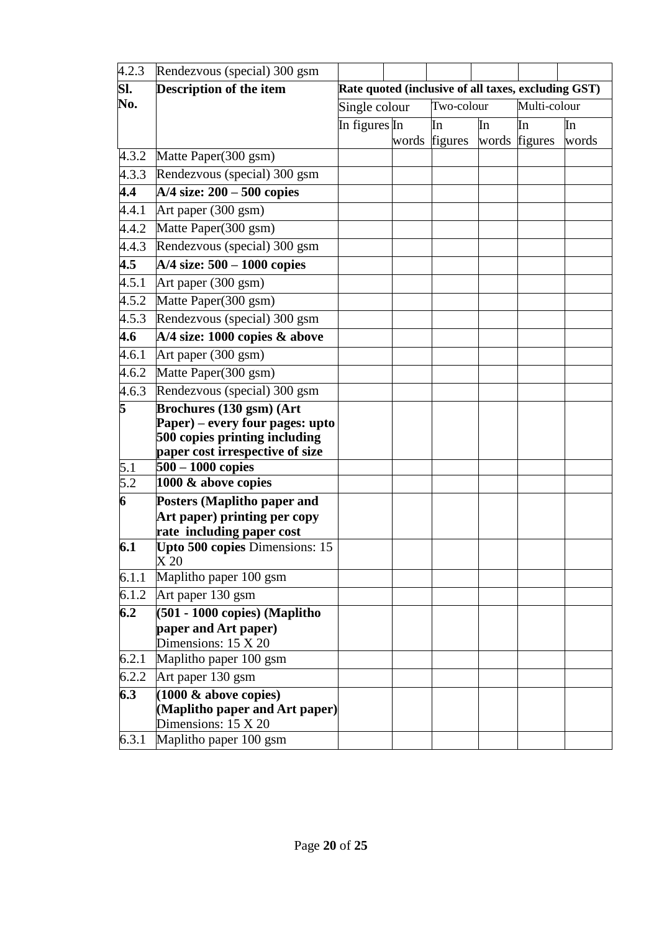| 4.2.3            | Rendezvous (special) 300 gsm                           |               |  |               |    |                                                     |       |
|------------------|--------------------------------------------------------|---------------|--|---------------|----|-----------------------------------------------------|-------|
| Sl.              | Description of the item                                |               |  |               |    | Rate quoted (inclusive of all taxes, excluding GST) |       |
| No.              |                                                        | Single colour |  | Two-colour    |    | Multi-colour                                        |       |
|                  |                                                        | In figures In |  | In            | In | In                                                  | In    |
|                  |                                                        |               |  | words figures |    | words figures                                       | words |
| 4.3.2            | Matte Paper(300 gsm)                                   |               |  |               |    |                                                     |       |
| 4.3.3            | Rendezvous (special) 300 gsm                           |               |  |               |    |                                                     |       |
| 4.4              | $A/4$ size: $200 - 500$ copies                         |               |  |               |    |                                                     |       |
| 4.4.1            | Art paper (300 gsm)                                    |               |  |               |    |                                                     |       |
| 4.4.2            | Matte Paper(300 gsm)                                   |               |  |               |    |                                                     |       |
| 4.4.3            | Rendezvous (special) 300 gsm                           |               |  |               |    |                                                     |       |
| 4.5              | $A/4$ size: $500 - 1000$ copies                        |               |  |               |    |                                                     |       |
| 4.5.1            | Art paper (300 gsm)                                    |               |  |               |    |                                                     |       |
| 4.5.2            | Matte Paper(300 gsm)                                   |               |  |               |    |                                                     |       |
| 4.5.3            | Rendezvous (special) 300 gsm                           |               |  |               |    |                                                     |       |
| 4.6              | A/4 size: 1000 copies & above                          |               |  |               |    |                                                     |       |
| 4.6.1            | Art paper (300 gsm)                                    |               |  |               |    |                                                     |       |
| 4.6.2            | Matte Paper(300 gsm)                                   |               |  |               |    |                                                     |       |
| 4.6.3            | Rendezvous (special) 300 gsm                           |               |  |               |    |                                                     |       |
| 5                | Brochures (130 gsm) (Art                               |               |  |               |    |                                                     |       |
|                  | Paper) – every four pages: upto                        |               |  |               |    |                                                     |       |
|                  | 500 copies printing including                          |               |  |               |    |                                                     |       |
| 5.1              | paper cost irrespective of size<br>$500 - 1000$ copies |               |  |               |    |                                                     |       |
| $\overline{5.2}$ | 1000 & above copies                                    |               |  |               |    |                                                     |       |
| 6                | Posters (Maplitho paper and                            |               |  |               |    |                                                     |       |
|                  | Art paper) printing per copy                           |               |  |               |    |                                                     |       |
|                  | rate including paper cost                              |               |  |               |    |                                                     |       |
| 6.1              | Upto 500 copies Dimensions: 15                         |               |  |               |    |                                                     |       |
|                  | X <sub>20</sub>                                        |               |  |               |    |                                                     |       |
| 6.1.1            | Maplitho paper 100 gsm                                 |               |  |               |    |                                                     |       |
| 6.1.2            | Art paper 130 gsm                                      |               |  |               |    |                                                     |       |
| 6.2              | (501 - 1000 copies) (Maplitho                          |               |  |               |    |                                                     |       |
|                  | paper and Art paper)<br>Dimensions: $15 \text{ X } 20$ |               |  |               |    |                                                     |       |
| 6.2.1            | Maplitho paper 100 gsm                                 |               |  |               |    |                                                     |       |
| 6.2.2            | Art paper 130 gsm                                      |               |  |               |    |                                                     |       |
| 6.3              | $(1000 \& above copies)$                               |               |  |               |    |                                                     |       |
|                  | (Maplitho paper and Art paper)                         |               |  |               |    |                                                     |       |
|                  | Dimensions: $15 \text{ X } 20$                         |               |  |               |    |                                                     |       |
| 6.3.1            | Maplitho paper 100 gsm                                 |               |  |               |    |                                                     |       |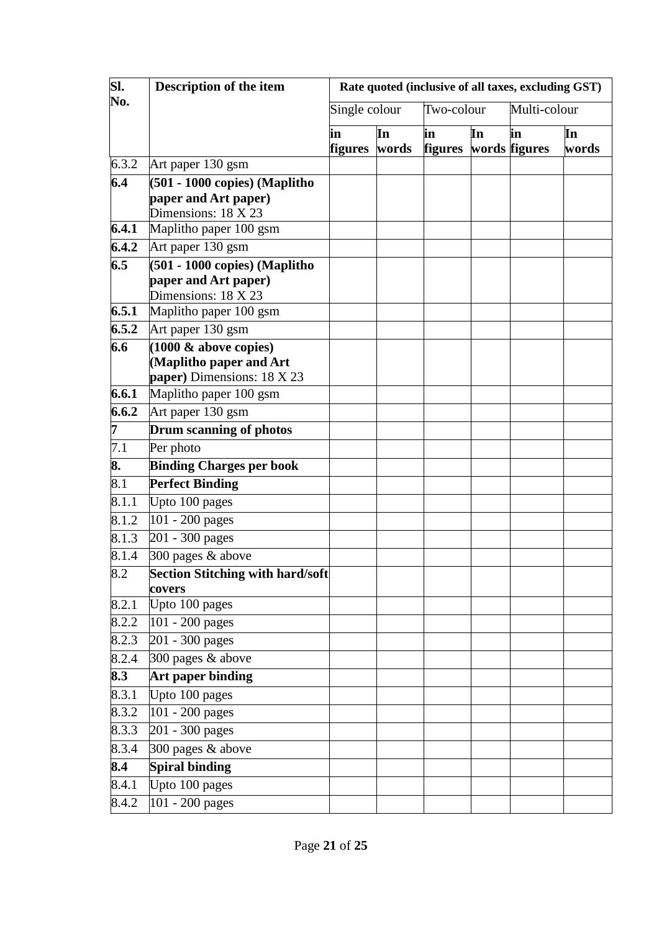| SI.   | Description of the item                               | Rate quoted (inclusive of all taxes, excluding GST) |             |                      |    |                     |             |
|-------|-------------------------------------------------------|-----------------------------------------------------|-------------|----------------------|----|---------------------|-------------|
| No.   |                                                       | Single colour                                       |             | Two-colour           |    | Multi-colour        |             |
|       |                                                       | in<br>figures                                       | In<br>words | in<br><b>figures</b> | In | in<br>words figures | In<br>words |
| 6.3.2 | Art paper 130 gsm                                     |                                                     |             |                      |    |                     |             |
| 6.4   | (501 - 1000 copies) (Maplitho                         |                                                     |             |                      |    |                     |             |
|       | paper and Art paper)                                  |                                                     |             |                      |    |                     |             |
|       | Dimensions: 18 X 23                                   |                                                     |             |                      |    |                     |             |
| 6.4.1 | Maplitho paper 100 gsm                                |                                                     |             |                      |    |                     |             |
| 6.4.2 | Art paper 130 gsm                                     |                                                     |             |                      |    |                     |             |
| 6.5   | (501 - 1000 copies) (Maplitho<br>paper and Art paper) |                                                     |             |                      |    |                     |             |
|       | Dimensions: 18 X 23                                   |                                                     |             |                      |    |                     |             |
| 6.5.1 | Maplitho paper 100 gsm                                |                                                     |             |                      |    |                     |             |
| 6.5.2 | Art paper 130 gsm                                     |                                                     |             |                      |    |                     |             |
| 6.6   | $(1000 \& above copies)$                              |                                                     |             |                      |    |                     |             |
|       | (Maplitho paper and Art                               |                                                     |             |                      |    |                     |             |
|       | paper) Dimensions: 18 X 23                            |                                                     |             |                      |    |                     |             |
| 6.6.1 | Maplitho paper 100 gsm                                |                                                     |             |                      |    |                     |             |
| 6.6.2 | Art paper 130 gsm                                     |                                                     |             |                      |    |                     |             |
| 7     | Drum scanning of photos                               |                                                     |             |                      |    |                     |             |
| 7.1   | Per photo                                             |                                                     |             |                      |    |                     |             |
| 8.    | <b>Binding Charges per book</b>                       |                                                     |             |                      |    |                     |             |
| 8.1   | <b>Perfect Binding</b>                                |                                                     |             |                      |    |                     |             |
| 8.1.1 | Upto 100 pages                                        |                                                     |             |                      |    |                     |             |
| 8.1.2 | 101 - 200 pages                                       |                                                     |             |                      |    |                     |             |
| 8.1.3 | 201 - 300 pages                                       |                                                     |             |                      |    |                     |             |
| 8.1.4 | 300 pages & above                                     |                                                     |             |                      |    |                     |             |
| 8.2   | <b>Section Stitching with hard/soft</b><br>covers     |                                                     |             |                      |    |                     |             |
| 8.2.1 | Upto 100 pages                                        |                                                     |             |                      |    |                     |             |
| 8.2.2 | 101 - 200 pages                                       |                                                     |             |                      |    |                     |             |
| 8.2.3 | $\sqrt{201 - 300}$ pages                              |                                                     |             |                      |    |                     |             |
| 8.2.4 | 300 pages & above                                     |                                                     |             |                      |    |                     |             |
| 8.3   | <b>Art paper binding</b>                              |                                                     |             |                      |    |                     |             |
| 8.3.1 | Upto 100 pages                                        |                                                     |             |                      |    |                     |             |
| 8.3.2 | 101 - 200 pages                                       |                                                     |             |                      |    |                     |             |
| 8.3.3 | 201 - 300 pages                                       |                                                     |             |                      |    |                     |             |
| 8.3.4 | 300 pages & above                                     |                                                     |             |                      |    |                     |             |
| 8.4   | <b>Spiral binding</b>                                 |                                                     |             |                      |    |                     |             |
| 8.4.1 | Upto 100 pages                                        |                                                     |             |                      |    |                     |             |
| 8.4.2 | 101 - 200 pages                                       |                                                     |             |                      |    |                     |             |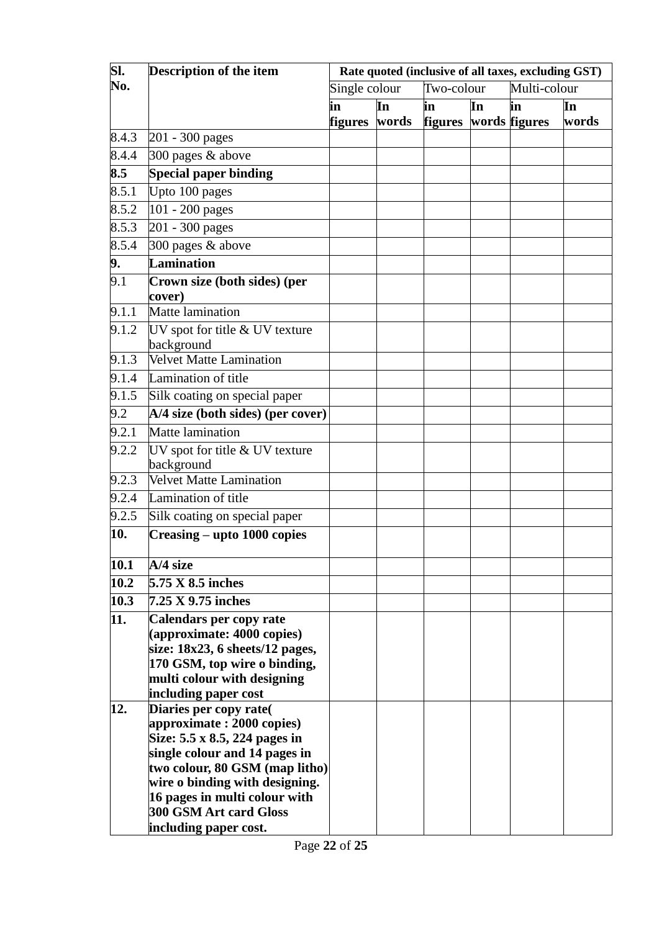| SI.                | Description of the item                             | Rate quoted (inclusive of all taxes, excluding GST) |       |                |    |               |       |  |  |
|--------------------|-----------------------------------------------------|-----------------------------------------------------|-------|----------------|----|---------------|-------|--|--|
| No.                |                                                     | Single colour                                       |       | Two-colour     |    | Multi-colour  |       |  |  |
|                    |                                                     | in                                                  | In    | in             | In | in            | In    |  |  |
|                    |                                                     | figures                                             | words | <b>figures</b> |    | words figures | words |  |  |
| 8.4.3              | 201 - 300 pages                                     |                                                     |       |                |    |               |       |  |  |
| 8.4.4              | 300 pages & above                                   |                                                     |       |                |    |               |       |  |  |
| 8.5                | <b>Special paper binding</b>                        |                                                     |       |                |    |               |       |  |  |
| 8.5.1              | Upto 100 pages                                      |                                                     |       |                |    |               |       |  |  |
| 8.5.2              | 101 - 200 pages                                     |                                                     |       |                |    |               |       |  |  |
| $8.\overline{5.3}$ | 201 - 300 pages                                     |                                                     |       |                |    |               |       |  |  |
| 8.5.4              | 300 pages & above                                   |                                                     |       |                |    |               |       |  |  |
| 9.                 | <b>Lamination</b>                                   |                                                     |       |                |    |               |       |  |  |
| 9.1                | Crown size (both sides) (per                        |                                                     |       |                |    |               |       |  |  |
|                    | cover)                                              |                                                     |       |                |    |               |       |  |  |
| 9.1.1              | Matte lamination                                    |                                                     |       |                |    |               |       |  |  |
| 9.1.2              | UV spot for title $\&$ UV texture                   |                                                     |       |                |    |               |       |  |  |
|                    | background                                          |                                                     |       |                |    |               |       |  |  |
| 9.1.3              | <b>Velvet Matte Lamination</b>                      |                                                     |       |                |    |               |       |  |  |
| 9.1.4              | Lamination of title                                 |                                                     |       |                |    |               |       |  |  |
| 9.1.5              | Silk coating on special paper                       |                                                     |       |                |    |               |       |  |  |
| 9.2                | A/4 size (both sides) (per cover)                   |                                                     |       |                |    |               |       |  |  |
| 9.2.1              | Matte lamination                                    |                                                     |       |                |    |               |       |  |  |
| 9.2.2              | UV spot for title & UV texture<br>background        |                                                     |       |                |    |               |       |  |  |
| 9.2.3              | <b>Velvet Matte Lamination</b>                      |                                                     |       |                |    |               |       |  |  |
| 9.2.4              | Lamination of title                                 |                                                     |       |                |    |               |       |  |  |
| 9.2.5              | Silk coating on special paper                       |                                                     |       |                |    |               |       |  |  |
| 10.                | Creasing – upto 1000 copies                         |                                                     |       |                |    |               |       |  |  |
| 10.1               | A/4 size                                            |                                                     |       |                |    |               |       |  |  |
| 10.2               | 5.75 X 8.5 inches                                   |                                                     |       |                |    |               |       |  |  |
| 10.3               | 7.25 X 9.75 inches                                  |                                                     |       |                |    |               |       |  |  |
| 11.                | <b>Calendars per copy rate</b>                      |                                                     |       |                |    |               |       |  |  |
|                    | (approximate: $4000$ copies)                        |                                                     |       |                |    |               |       |  |  |
|                    | size: $18x23$ , 6 sheets/12 pages,                  |                                                     |       |                |    |               |       |  |  |
|                    | 170 GSM, top wire o binding,                        |                                                     |       |                |    |               |       |  |  |
|                    | multi colour with designing                         |                                                     |       |                |    |               |       |  |  |
| 12.                | including paper cost                                |                                                     |       |                |    |               |       |  |  |
|                    | Diaries per copy rate(<br>approximate: 2000 copies) |                                                     |       |                |    |               |       |  |  |
|                    | Size: 5.5 x 8.5, 224 pages in                       |                                                     |       |                |    |               |       |  |  |
|                    | single colour and 14 pages in                       |                                                     |       |                |    |               |       |  |  |
|                    | two colour, 80 GSM (map litho)                      |                                                     |       |                |    |               |       |  |  |
|                    | wire o binding with designing.                      |                                                     |       |                |    |               |       |  |  |
|                    | 16 pages in multi colour with                       |                                                     |       |                |    |               |       |  |  |
|                    | 300 GSM Art card Gloss                              |                                                     |       |                |    |               |       |  |  |
|                    | including paper cost.                               |                                                     |       |                |    |               |       |  |  |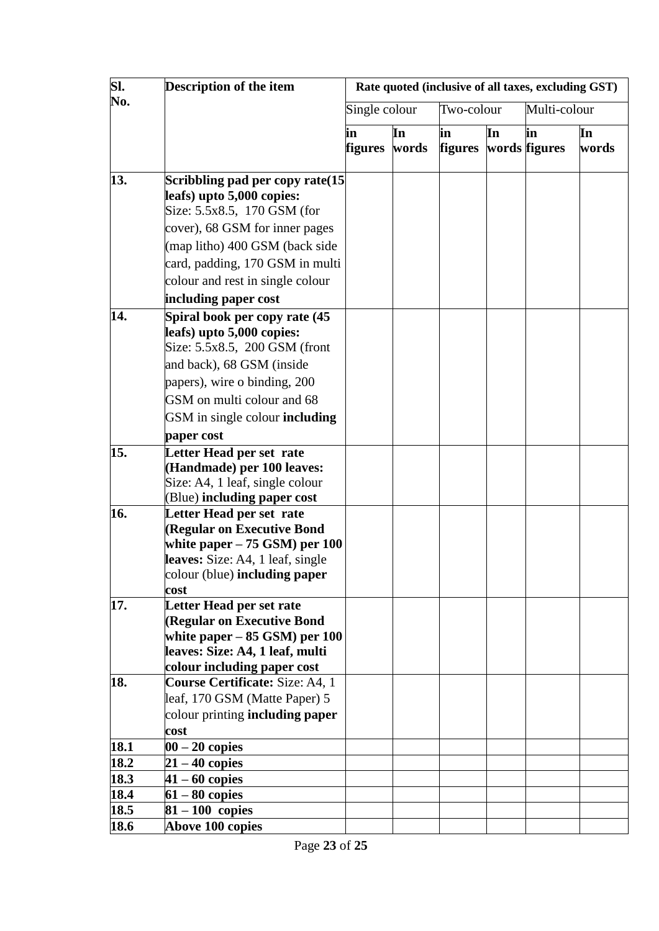| SI.        | Description of the item                                                                                                                                                                                                                                                                                                                                                                     |                      |             | Rate quoted (inclusive of all taxes, excluding GST) |    |                     |             |  |  |
|------------|---------------------------------------------------------------------------------------------------------------------------------------------------------------------------------------------------------------------------------------------------------------------------------------------------------------------------------------------------------------------------------------------|----------------------|-------------|-----------------------------------------------------|----|---------------------|-------------|--|--|
| No.        |                                                                                                                                                                                                                                                                                                                                                                                             | Single colour        |             | Two-colour                                          |    | Multi-colour        |             |  |  |
|            |                                                                                                                                                                                                                                                                                                                                                                                             | in<br><b>figures</b> | In<br>words | in<br><b>figures</b>                                | In | in<br>words figures | In<br>words |  |  |
| 13.<br>14. | Scribbling pad per copy rate (15<br>leafs) upto 5,000 copies:<br>Size: 5.5x8.5, 170 GSM (for<br>cover), 68 GSM for inner pages<br>(map litho) 400 GSM (back side<br>card, padding, 170 GSM in multi<br>colour and rest in single colour<br>including paper cost<br>Spiral book per copy rate (45<br>leafs) upto 5,000 copies:<br>Size: 5.5x8.5, 200 GSM (front<br>and back), 68 GSM (inside |                      |             |                                                     |    |                     |             |  |  |
|            | papers), wire o binding, 200<br>GSM on multi colour and 68<br>GSM in single colour including<br>paper cost                                                                                                                                                                                                                                                                                  |                      |             |                                                     |    |                     |             |  |  |
| 15.        | Letter Head per set rate<br>(Handmade) per 100 leaves:<br>Size: A4, 1 leaf, single colour<br>(Blue) including paper cost                                                                                                                                                                                                                                                                    |                      |             |                                                     |    |                     |             |  |  |
| 16.        | Letter Head per set rate<br>(Regular on Executive Bond<br>white paper $-75$ GSM) per 100<br>leaves: Size: A4, 1 leaf, single<br>colour (blue) <b>including paper</b><br>cost                                                                                                                                                                                                                |                      |             |                                                     |    |                     |             |  |  |
| 17.        | Letter Head per set rate<br>(Regular on Executive Bond<br>white paper $-85$ GSM) per $100$<br>leaves: Size: A4, 1 leaf, multi<br>colour including paper cost                                                                                                                                                                                                                                |                      |             |                                                     |    |                     |             |  |  |
| 18.        | Course Certificate: Size: A4, 1<br>leaf, 170 GSM (Matte Paper) 5<br>colour printing <b>including paper</b><br>cost                                                                                                                                                                                                                                                                          |                      |             |                                                     |    |                     |             |  |  |
| 18.1       | $00 - 20$ copies                                                                                                                                                                                                                                                                                                                                                                            |                      |             |                                                     |    |                     |             |  |  |
| 18.2       | $21 - 40$ copies                                                                                                                                                                                                                                                                                                                                                                            |                      |             |                                                     |    |                     |             |  |  |
| 18.3       | $41 - 60$ copies                                                                                                                                                                                                                                                                                                                                                                            |                      |             |                                                     |    |                     |             |  |  |
| 18.4       | $61 - 80$ copies                                                                                                                                                                                                                                                                                                                                                                            |                      |             |                                                     |    |                     |             |  |  |
| 18.5       | $81 - 100$ copies                                                                                                                                                                                                                                                                                                                                                                           |                      |             |                                                     |    |                     |             |  |  |
| 18.6       | <b>Above 100 copies</b>                                                                                                                                                                                                                                                                                                                                                                     |                      |             |                                                     |    |                     |             |  |  |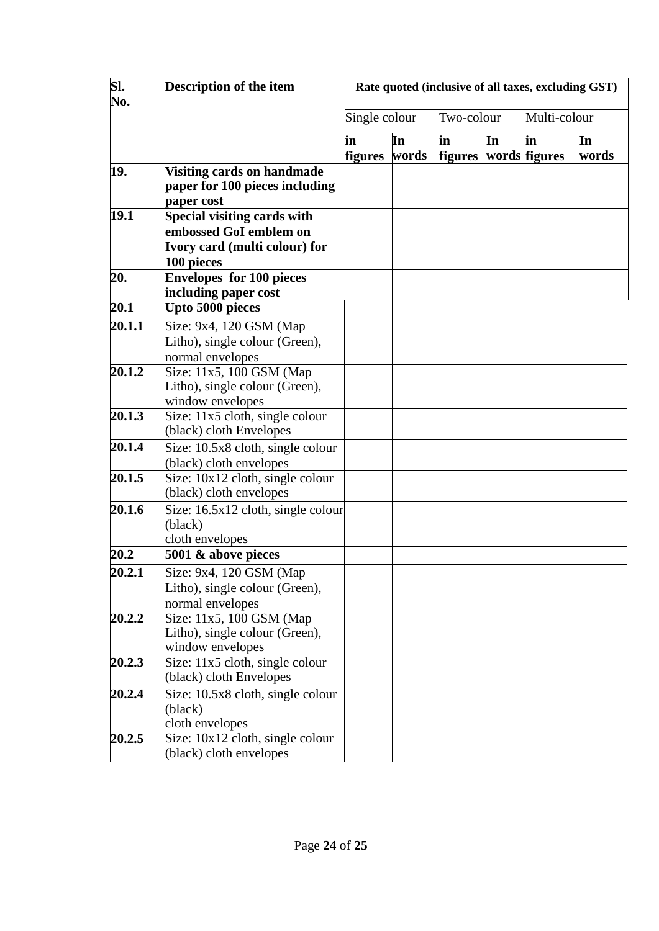| SI.<br>No. | Description of the item                                                                              | Rate quoted (inclusive of all taxes, excluding GST) |             |                      |    |                     |             |  |
|------------|------------------------------------------------------------------------------------------------------|-----------------------------------------------------|-------------|----------------------|----|---------------------|-------------|--|
|            |                                                                                                      | Single colour                                       |             | Two-colour           |    | Multi-colour        |             |  |
|            |                                                                                                      | in<br>figures                                       | In<br>words | in<br><b>figures</b> | In | in<br>words figures | In<br>words |  |
| 19.        | Visiting cards on handmade<br>paper for 100 pieces including<br>paper cost                           |                                                     |             |                      |    |                     |             |  |
| 19.1       | Special visiting cards with<br>embossed GoI emblem on<br>Ivory card (multi colour) for<br>100 pieces |                                                     |             |                      |    |                     |             |  |
| 20.        | <b>Envelopes for 100 pieces</b><br>including paper cost                                              |                                                     |             |                      |    |                     |             |  |
| 20.1       | Upto 5000 pieces                                                                                     |                                                     |             |                      |    |                     |             |  |
| 20.1.1     | Size: 9x4, 120 GSM (Map<br>Litho), single colour (Green),<br>normal envelopes                        |                                                     |             |                      |    |                     |             |  |
| 20.1.2     | Size: 11x5, 100 GSM (Map<br>Litho), single colour (Green),<br>window envelopes                       |                                                     |             |                      |    |                     |             |  |
| 20.1.3     | Size: 11x5 cloth, single colour<br>(black) cloth Envelopes                                           |                                                     |             |                      |    |                     |             |  |
| 20.1.4     | Size: 10.5x8 cloth, single colour<br>(black) cloth envelopes                                         |                                                     |             |                      |    |                     |             |  |
| 20.1.5     | Size: $10x12$ cloth, single colour<br>(black) cloth envelopes                                        |                                                     |             |                      |    |                     |             |  |
| 20.1.6     | $\overline{\text{Size}}$ : 16.5x12 cloth, single colour<br>(black)<br>cloth envelopes                |                                                     |             |                      |    |                     |             |  |
| 20.2       | 5001 & above pieces                                                                                  |                                                     |             |                      |    |                     |             |  |
| 20.2.1     | Size: 9x4, 120 GSM (Map<br>Litho), single colour (Green),<br>normal envelopes                        |                                                     |             |                      |    |                     |             |  |
| 20.2.2     | Size: 11x5, 100 GSM (Map<br>Litho), single colour (Green),<br>window envelopes                       |                                                     |             |                      |    |                     |             |  |
| 20.2.3     | Size: 11x5 cloth, single colour<br>(black) cloth Envelopes                                           |                                                     |             |                      |    |                     |             |  |
| 20.2.4     | Size: 10.5x8 cloth, single colour<br>(black)<br>cloth envelopes                                      |                                                     |             |                      |    |                     |             |  |
| 20.2.5     | Size: $10x12$ cloth, single colour<br>(black) cloth envelopes                                        |                                                     |             |                      |    |                     |             |  |